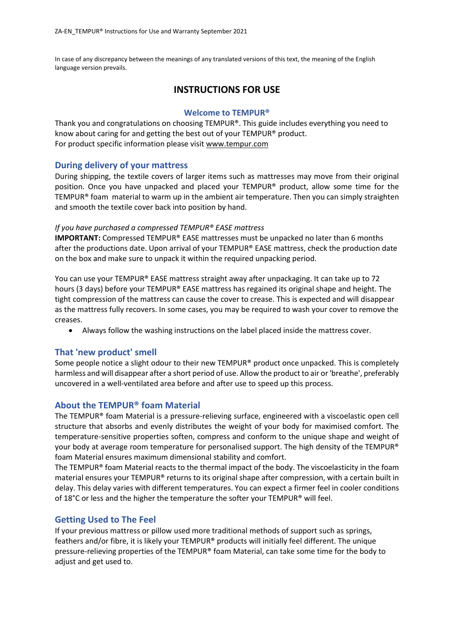In case of any discrepancy between the meanings of any translated versions of this text, the meaning of the English language version prevails.

# **INSTRUCTIONS FOR USE**

### **Welcome to TEMPUR®**

Thank you and congratulations on choosing TEMPUR®. This guide includes everything you need to know about caring for and getting the best out of your TEMPUR® product. For product specific information please visit [www.tempur.com](http://www.tempur.com/) 

### **During delivery of your mattress**

During shipping, the textile covers of larger items such as mattresses may move from their original position. Once you have unpacked and placed your TEMPUR® product, allow some time for the TEMPUR® foam material to warm up in the ambient air temperature. Then you can simply straighten and smooth the textile cover back into position by hand.

### *If you have purchased a compressed TEMPUR® EASE mattress*

**IMPORTANT:** Compressed TEMPUR® EASE mattresses must be unpacked no later than 6 months after the productions date. Upon arrival of your TEMPUR® EASE mattress, check the production date on the box and make sure to unpack it within the required unpacking period.

You can use your TEMPUR® EASE mattress straight away after unpackaging. It can take up to 72 hours (3 days) before your TEMPUR® EASE mattress has regained its original shape and height. The tight compression of the mattress can cause the cover to crease. This is expected and will disappear as the mattress fully recovers. In some cases, you may be required to wash your cover to remove the creases.

• Always follow the washing instructions on the label placed inside the mattress cover.

### **That 'new product' smell**

Some people notice a slight odour to their new TEMPUR® product once unpacked. This is completely harmless and will disappear after a short period of use. Allow the product to air or 'breathe', preferably uncovered in a well-ventilated area before and after use to speed up this process.

### **About the TEMPUR® foam Material**

The TEMPUR® foam Material is a pressure-relieving surface, engineered with a viscoelastic open cell structure that absorbs and evenly distributes the weight of your body for maximised comfort. The temperature-sensitive properties soften, compress and conform to the unique shape and weight of your body at average room temperature for personalised support. The high density of the TEMPUR® foam Material ensures maximum dimensional stability and comfort.

The TEMPUR<sup>®</sup> foam Material reacts to the thermal impact of the body. The viscoelasticity in the foam material ensures your TEMPUR® returns to its original shape after compression, with a certain built in delay. This delay varies with different temperatures. You can expect a firmer feel in cooler conditions of 18 $^{\circ}$ C or less and the higher the temperature the softer your TEMPUR® will feel.

### **Getting Used to The Feel**

If your previous mattress or pillow used more traditional methods of support such as springs, feathers and/or fibre, it is likely your TEMPUR® products will initially feel different. The unique pressure-relieving properties of the TEMPUR® foam Material, can take some time for the body to adjust and get used to.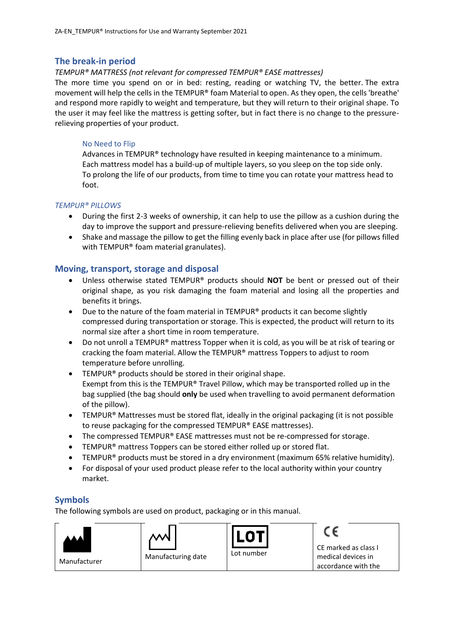### **The break-in period**

#### *TEMPUR® MATTRESS (not relevant for compressed TEMPUR® EASE mattresses)*

The more time you spend on or in bed: resting, reading or watching TV, the better. The extra movement will help the cells in the TEMPUR® foam Material to open. As they open, the cells 'breathe' and respond more rapidly to weight and temperature, but they will return to their original shape. To the user it may feel like the mattress is getting softer, but in fact there is no change to the pressurerelieving properties of your product.

#### No Need to Flip

Advances in TEMPUR® technology have resulted in keeping maintenance to a minimum. Each mattress model has a build-up of multiple layers, so you sleep on the top side only. To prolong the life of our products, from time to time you can rotate your mattress head to foot.

#### *TEMPUR® PILLOWS*

- During the first 2-3 weeks of ownership, it can help to use the pillow as a cushion during the day to improve the support and pressure-relieving benefits delivered when you are sleeping.
- Shake and massage the pillow to get the filling evenly back in place after use (for pillows filled with TEMPUR® foam material granulates).

### **Moving, transport, storage and disposal**

- Unless otherwise stated TEMPUR® products should **NOT** be bent or pressed out of their original shape, as you risk damaging the foam material and losing all the properties and benefits it brings.
- Due to the nature of the foam material in TEMPUR® products it can become slightly compressed during transportation or storage. This is expected, the product will return to its normal size after a short time in room temperature.
- Do not unroll a TEMPUR® mattress Topper when it is cold, as you will be at risk of tearing or cracking the foam material. Allow the TEMPUR® mattress Toppers to adjust to room temperature before unrolling.
- TEMPUR® products should be stored in their original shape. Exempt from this is the TEMPUR® Travel Pillow, which may be transported rolled up in the bag supplied (the bag should **only** be used when travelling to avoid permanent deformation of the pillow).
- TEMPUR<sup>®</sup> Mattresses must be stored flat, ideally in the original packaging (it is not possible to reuse packaging for the compressed TEMPUR® EASE mattresses).
- The compressed TEMPUR® EASE mattresses must not be re-compressed for storage.
- TEMPUR<sup>®</sup> mattress Toppers can be stored either rolled up or stored flat.
- TEMPUR® products must be stored in a dry environment (maximum 65% relative humidity).
- For disposal of your used product please refer to the local authority within your country market.

### **Symbols**

The following symbols are used on product, packaging or in this manual.

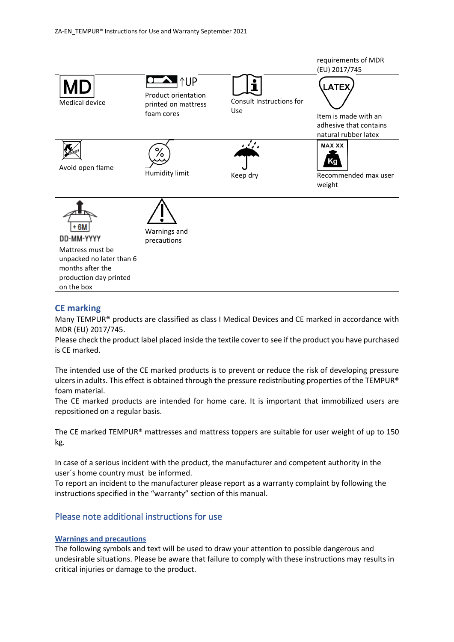|                                                                                                                                |                                                                        |                                 | requirements of MDR<br>(EU) 2017/745                                                   |
|--------------------------------------------------------------------------------------------------------------------------------|------------------------------------------------------------------------|---------------------------------|----------------------------------------------------------------------------------------|
| Medical device                                                                                                                 | <b>AUP</b><br>Product orientation<br>printed on mattress<br>foam cores | Consult Instructions for<br>Use | <b>LATEX</b><br>Item is made with an<br>adhesive that contains<br>natural rubber latex |
| Avoid open flame                                                                                                               | ⁄٥<br>Humidity limit                                                   | ومنينة<br>Keep dry              | <b>MAX XX</b><br>Recommended max user<br>weight                                        |
| + 6M<br>DD-MM-YYYY<br>Mattress must be<br>unpacked no later than 6<br>months after the<br>production day printed<br>on the box | Warnings and<br>precautions                                            |                                 |                                                                                        |

## **CE marking**

Many TEMPUR® products are classified as class I Medical Devices and CE marked in accordance with MDR (EU) 2017/745.

Please check the product label placed inside the textile cover to see if the product you have purchased is CE marked.

The intended use of the CE marked products is to prevent or reduce the risk of developing pressure ulcers in adults. This effect is obtained through the pressure redistributing properties of the TEMPUR® foam material.

The CE marked products are intended for home care. It is important that immobilized users are repositioned on a regular basis.

The CE marked TEMPUR® mattresses and mattress toppers are suitable for user weight of up to 150 kg.

In case of a serious incident with the product, the manufacturer and competent authority in the user´s home country must be informed.

To report an incident to the manufacturer please report as a warranty complaint by following the instructions specified in the "warranty" section of this manual.

# Please note additional instructions for use

#### **Warnings and precautions**

The following symbols and text will be used to draw your attention to possible dangerous and undesirable situations. Please be aware that failure to comply with these instructions may results in critical injuries or damage to the product.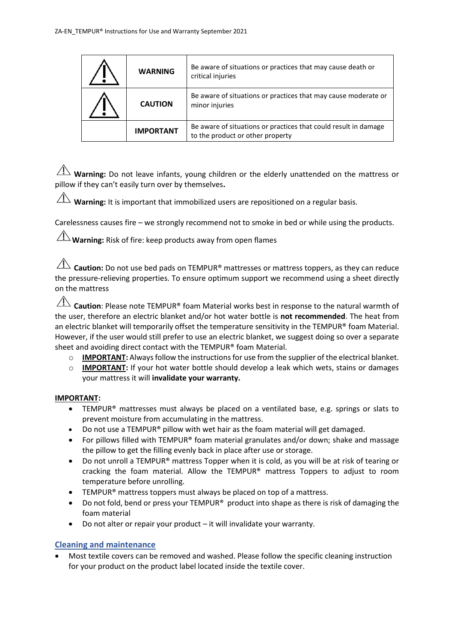| <b>WARNING</b>   | Be aware of situations or practices that may cause death or<br>critical injuries                    |
|------------------|-----------------------------------------------------------------------------------------------------|
| <b>CAUTION</b>   | Be aware of situations or practices that may cause moderate or<br>minor injuries                    |
| <b>IMPORTANT</b> | Be aware of situations or practices that could result in damage<br>to the product or other property |

 $\overline{\Lambda}$  **Warning:** Do not leave infants, young children or the elderly unattended on the mattress or pillow if they can't easily turn over by themselves**.**

**Warning:** It is important that immobilized users are repositioned on a regular basis.

Carelessness causes fire – we strongly recommend not to smoke in bed or while using the products.

 $\angle$ **Warning:** Risk of fire: keep products away from open flames

**Caution:** Do not use bed pads on TEMPUR<sup>®</sup> mattresses or mattress toppers, as they can reduce the pressure-relieving properties. To ensure optimum support we recommend using a sheet directly on the mattress

**Caution**: Please note TEMPUR® foam Material works best in response to the natural warmth of the user, therefore an electric blanket and/or hot water bottle is **not recommended**. The heat from an electric blanket will temporarily offset the temperature sensitivity in the TEMPUR® foam Material. However, if the user would still prefer to use an electric blanket, we suggest doing so over a separate sheet and avoiding direct contact with the TEMPUR® foam Material.

- $\circ$  **IMPORTANT:** Always follow the instructions for use from the supplier of the electrical blanket.
- o **IMPORTANT:** If your hot water bottle should develop a leak which wets, stains or damages your mattress it will **invalidate your warranty.**

### **IMPORTANT:**

- TEMPUR® mattresses must always be placed on a ventilated base, e.g. springs or slats to prevent moisture from accumulating in the mattress.
- Do not use a TEMPUR® pillow with wet hair as the foam material will get damaged.
- For pillows filled with TEMPUR® foam material granulates and/or down; shake and massage the pillow to get the filling evenly back in place after use or storage.
- Do not unroll a TEMPUR® mattress Topper when it is cold, as you will be at risk of tearing or cracking the foam material. Allow the TEMPUR® mattress Toppers to adjust to room temperature before unrolling.
- TEMPUR<sup>®</sup> mattress toppers must always be placed on top of a mattress.
- Do not fold, bend or press your TEMPUR<sup>®</sup> product into shape as there is risk of damaging the foam material
- Do not alter or repair your product it will invalidate your warranty.

### **Cleaning and maintenance**

• Most textile covers can be removed and washed. Please follow the specific cleaning instruction for your product on the product label located inside the textile cover.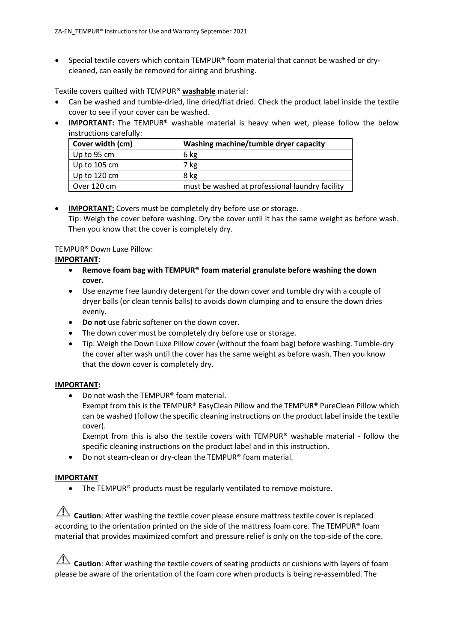• Special textile covers which contain TEMPUR® foam material that cannot be washed or drycleaned, can easily be removed for airing and brushing.

Textile covers quilted with TEMPUR® **washable** material:

- Can be washed and tumble-dried, line dried/flat dried. Check the product label inside the textile cover to see if your cover can be washed.
- **IMPORTANT:** The TEMPUR<sup>®</sup> washable material is heavy when wet, please follow the below instructions carefully:

| Cover width (cm)       | Washing machine/tumble dryer capacity           |
|------------------------|-------------------------------------------------|
| Up to 95 cm            | 6 kg                                            |
| Up to $105$ cm         | 7 kg                                            |
| Up to $120 \text{ cm}$ | 8 kg                                            |
| Over 120 cm            | must be washed at professional laundry facility |

### • **IMPORTANT:** Covers must be completely dry before use or storage. Tip: Weigh the cover before washing. Dry the cover until it has the same weight as before wash. Then you know that the cover is completely dry.

## TEMPUR® Down Luxe Pillow:

### **IMPORTANT:**

- **Remove foam bag with TEMPUR® foam material granulate before washing the down cover.**
- Use enzyme free laundry detergent for the down cover and tumble dry with a couple of dryer balls (or clean tennis balls) to avoids down clumping and to ensure the down dries evenly.
- **Do not** use fabric softener on the down cover.
- The down cover must be completely dry before use or storage.
- Tip: Weigh the Down Luxe Pillow cover (without the foam bag) before washing. Tumble-dry the cover after wash until the cover has the same weight as before wash. Then you know that the down cover is completely dry.

### **IMPORTANT:**

• Do not wash the TEMPUR® foam material. Exempt from this is the TEMPUR® EasyClean Pillow and the TEMPUR® PureClean Pillow which can be washed (follow the specific cleaning instructions on the product label inside the textile

cover). Exempt from this is also the textile covers with TEMPUR® washable material - follow the specific cleaning instructions on the product label and in this instruction.

• Do not steam-clean or dry-clean the TEMPUR® foam material.

# **IMPORTANT**

• The TEMPUR<sup>®</sup> products must be regularly ventilated to remove moisture.

**Caution**: After washing the textile cover please ensure mattress textile cover is replaced according to the orientation printed on the side of the mattress foam core. The TEMPUR® foam material that provides maximized comfort and pressure relief is only on the top-side of the core.

**Caution**: After washing the textile covers of seating products or cushions with layers of foam please be aware of the orientation of the foam core when products is being re-assembled. The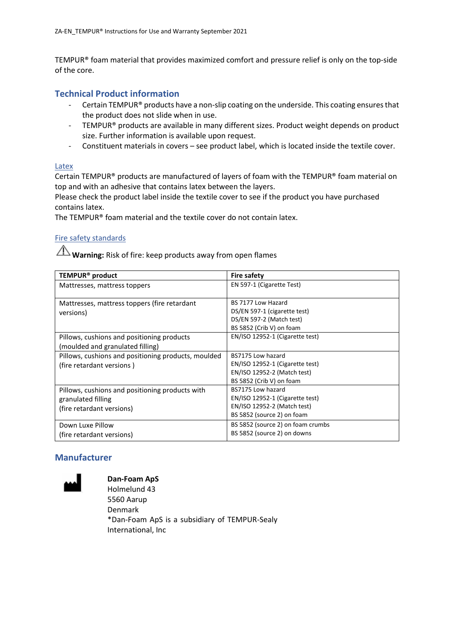TEMPUR® foam material that provides maximized comfort and pressure relief is only on the top-side of the core.

### **Technical Product information**

- Certain TEMPUR® products have a non-slip coating on the underside. This coating ensures that the product does not slide when in use.
- TEMPUR® products are available in many different sizes. Product weight depends on product size. Further information is available upon request.
- Constituent materials in covers see product label, which is located inside the textile cover.

#### Latex

Certain TEMPUR® products are manufactured of layers of foam with the TEMPUR® foam material on top and with an adhesive that contains latex between the layers.

Please check the product label inside the textile cover to see if the product you have purchased contains latex.

The TEMPUR® foam material and the textile cover do not contain latex.

### Fire safety standards

**Warning:** Risk of fire: keep products away from open flames

| TEMPUR <sup>®</sup> product                                                                        | <b>Fire safety</b>                                                                                                |
|----------------------------------------------------------------------------------------------------|-------------------------------------------------------------------------------------------------------------------|
| Mattresses, mattress toppers                                                                       | EN 597-1 (Cigarette Test)                                                                                         |
| Mattresses, mattress toppers (fire retardant<br>versions)                                          | BS 7177 Low Hazard<br>DS/EN 597-1 (cigarette test)<br>DS/EN 597-2 (Match test)<br>BS 5852 (Crib V) on foam        |
| Pillows, cushions and positioning products<br>(moulded and granulated filling)                     | EN/ISO 12952-1 (Cigarette test)                                                                                   |
| Pillows, cushions and positioning products, moulded<br>(fire retardant versions)                   | BS7175 Low hazard<br>EN/ISO 12952-1 (Cigarette test)<br>EN/ISO 12952-2 (Match test)<br>BS 5852 (Crib V) on foam   |
| Pillows, cushions and positioning products with<br>granulated filling<br>(fire retardant versions) | BS7175 Low hazard<br>EN/ISO 12952-1 (Cigarette test)<br>EN/ISO 12952-2 (Match test)<br>BS 5852 (source 2) on foam |
| Down Luxe Pillow<br>(fire retardant versions)                                                      | BS 5852 (source 2) on foam crumbs<br>BS 5852 (source 2) on downs                                                  |

# **Manufacturer**



**Dan-Foam ApS** Holmelund 43 5560 Aarup Denmark \*Dan-Foam ApS is a subsidiary of TEMPUR-Sealy International, Inc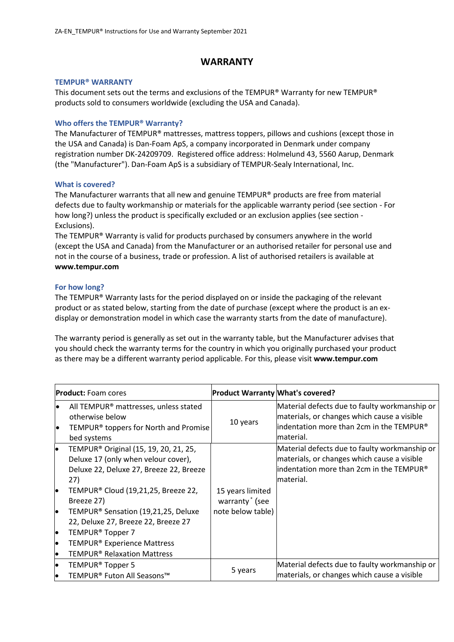# **WARRANTY**

#### **TEMPUR® WARRANTY**

This document sets out the terms and exclusions of the TEMPUR® Warranty for new TEMPUR® products sold to consumers worldwide (excluding the USA and Canada).

#### **Who offers the TEMPUR® Warranty?**

The Manufacturer of TEMPUR® mattresses, mattress toppers, pillows and cushions (except those in the USA and Canada) is Dan-Foam ApS, a company incorporated in Denmark under company registration number DK-24209709. Registered office address: Holmelund 43, 5560 Aarup, Denmark (the "Manufacturer"). Dan-Foam ApS is a subsidiary of TEMPUR-Sealy International, Inc.

#### **What is covered?**

The Manufacturer warrants that all new and genuine TEMPUR® products are free from material defects due to faulty workmanship or materials for the applicable warranty period (see section - For how long?) unless the product is specifically excluded or an exclusion applies (see section - Exclusions).

The TEMPUR® Warranty is valid for products purchased by consumers anywhere in the world (except the USA and Canada) from the Manufacturer or an authorised retailer for personal use and not in the course of a business, trade or profession. A list of authorised retailers is available at **www[.tempur.com](http://www.tempur.com/)**

#### **For how long?**

The TEMPUR® Warranty lasts for the period displayed on or inside the packaging of the relevant product or as stated below, starting from the date of purchase (except where the product is an exdisplay or demonstration model in which case the warranty starts from the date of manufacture).

The warranty period is generally as set out in the warranty table, but the Manufacturer advises that you should check the warranty terms for the country in which you originally purchased your product as there may be a different warranty period applicable. For this, please visit **www.tempur.com**

|          | <b>Product:</b> Foam cores                                                                                                                 | <b>Product Warranty What's covered?</b>        |                                                                                                                                                        |
|----------|--------------------------------------------------------------------------------------------------------------------------------------------|------------------------------------------------|--------------------------------------------------------------------------------------------------------------------------------------------------------|
| le<br>le | All TEMPUR <sup>®</sup> mattresses, unless stated<br>otherwise below<br>TEMPUR <sup>®</sup> toppers for North and Promise<br>bed systems   | 10 years                                       | Material defects due to faulty workmanship or<br>materials, or changes which cause a visible<br>lindentation more than 2cm in the TEMPUR®<br>material. |
| lo       | TEMPUR <sup>®</sup> Original (15, 19, 20, 21, 25,<br>Deluxe 17 (only when velour cover),<br>Deluxe 22, Deluxe 27, Breeze 22, Breeze<br>27) |                                                | Material defects due to faulty workmanship or<br>materials, or changes which cause a visible<br>lindentation more than 2cm in the TEMPUR®<br>material. |
| lo       | TEMPUR® Cloud (19,21,25, Breeze 22,<br>Breeze 27)                                                                                          | 15 years limited<br>warranty <sup>*</sup> (see |                                                                                                                                                        |
| lo       | TEMPUR <sup>®</sup> Sensation (19,21,25, Deluxe<br>22, Deluxe 27, Breeze 22, Breeze 27                                                     | note below table)                              |                                                                                                                                                        |
| l•       | TEMPUR <sup>®</sup> Topper 7                                                                                                               |                                                |                                                                                                                                                        |
| lo       | TEMPUR <sup>®</sup> Experience Mattress                                                                                                    |                                                |                                                                                                                                                        |
| lo       | <b>TEMPUR<sup>®</sup> Relaxation Mattress</b>                                                                                              |                                                |                                                                                                                                                        |
| lo       | TEMPUR <sup>®</sup> Topper 5                                                                                                               |                                                | Material defects due to faulty workmanship or                                                                                                          |
| lo       | TEMPUR® Futon All Seasons™                                                                                                                 | 5 years                                        | materials, or changes which cause a visible                                                                                                            |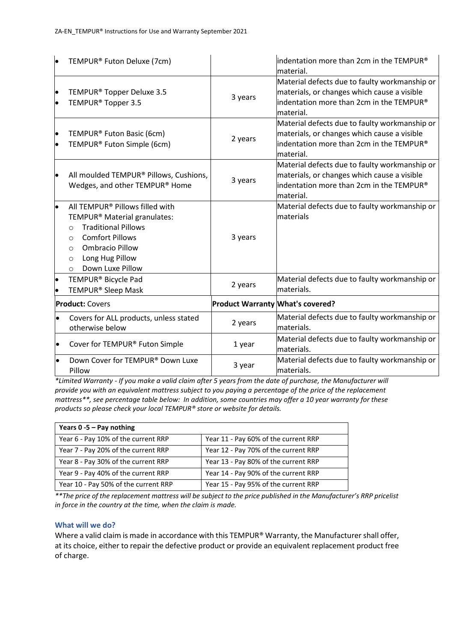| lo                     | TEMPUR® Futon Deluxe (7cm)                                                                                                                                                                                                                                   |                                         | indentation more than 2cm in the TEMPUR®<br>material.                                                                                                             |
|------------------------|--------------------------------------------------------------------------------------------------------------------------------------------------------------------------------------------------------------------------------------------------------------|-----------------------------------------|-------------------------------------------------------------------------------------------------------------------------------------------------------------------|
| $\bullet$<br>$\bullet$ | TEMPUR <sup>®</sup> Topper Deluxe 3.5<br>TEMPUR <sup>®</sup> Topper 3.5                                                                                                                                                                                      | 3 years                                 | Material defects due to faulty workmanship or<br>materials, or changes which cause a visible<br>indentation more than 2cm in the TEMPUR®<br>material.             |
| $\bullet$<br>$\bullet$ | TEMPUR® Futon Basic (6cm)<br>TEMPUR® Futon Simple (6cm)                                                                                                                                                                                                      | 2 years                                 | Material defects due to faulty workmanship or<br>materials, or changes which cause a visible<br>indentation more than 2cm in the TEMPUR®<br>material.             |
| $\bullet$              | All moulded TEMPUR® Pillows, Cushions,<br>Wedges, and other TEMPUR® Home                                                                                                                                                                                     | 3 years                                 | Material defects due to faulty workmanship or<br>materials, or changes which cause a visible<br>$\parallel$ indentation more than 2cm in the TEMPUR®<br>material. |
| $\bullet$              | All TEMPUR® Pillows filled with<br>TEMPUR <sup>®</sup> Material granulates:<br><b>Traditional Pillows</b><br>$\Omega$<br><b>Comfort Pillows</b><br>$\circ$<br><b>Ombracio Pillow</b><br>$\circ$<br>Long Hug Pillow<br>$\circ$<br>Down Luxe Pillow<br>$\circ$ | 3 years                                 | Material defects due to faulty workmanship or<br>lmaterials                                                                                                       |
| $\bullet$              | TEMPUR <sup>®</sup> Bicycle Pad<br>TEMPUR <sup>®</sup> Sleep Mask                                                                                                                                                                                            | 2 years                                 | Material defects due to faulty workmanship or<br>materials.                                                                                                       |
|                        | <b>Product: Covers</b>                                                                                                                                                                                                                                       | <b>Product Warranty What's covered?</b> |                                                                                                                                                                   |
| $\bullet$              | Covers for ALL products, unless stated<br>otherwise below                                                                                                                                                                                                    | 2 years                                 | Material defects due to faulty workmanship or<br>lmaterials.                                                                                                      |
| $\bullet$              | Cover for TEMPUR® Futon Simple                                                                                                                                                                                                                               | 1 year                                  | Material defects due to faulty workmanship or<br>materials.                                                                                                       |
|                        | Down Cover for TEMPUR® Down Luxe<br>Pillow                                                                                                                                                                                                                   | 3 year                                  | Material defects due to faulty workmanship or<br>materials.                                                                                                       |

*\*Limited Warranty - If you make a valid claim after 5 years from the date of purchase, the Manufacturer will provide you with an equivalent mattress subject to you paying a percentage of the price of the replacement mattress\*\*, see percentage table below: In addition, some countries may offer a 10 year warranty for these products so please check your local TEMPUR® store or website for details.*

| Years $0 - 5 - Pay nothing$          |                                      |  |
|--------------------------------------|--------------------------------------|--|
| Year 6 - Pay 10% of the current RRP  | Year 11 - Pay 60% of the current RRP |  |
| Year 7 - Pay 20% of the current RRP  | Year 12 - Pay 70% of the current RRP |  |
| Year 8 - Pay 30% of the current RRP  | Year 13 - Pay 80% of the current RRP |  |
| Year 9 - Pay 40% of the current RRP  | Year 14 - Pay 90% of the current RRP |  |
| Year 10 - Pay 50% of the current RRP | Year 15 - Pay 95% of the current RRP |  |

*\*\*The price of the replacement mattress will be subject to the price published in the Manufacturer's RRP pricelist in force in the country at the time, when the claim is made.*

#### **What will we do?**

Where a valid claim is made in accordance with this TEMPUR® Warranty, the Manufacturer shall offer, at its choice, either to repair the defective product or provide an equivalent replacement product free of charge.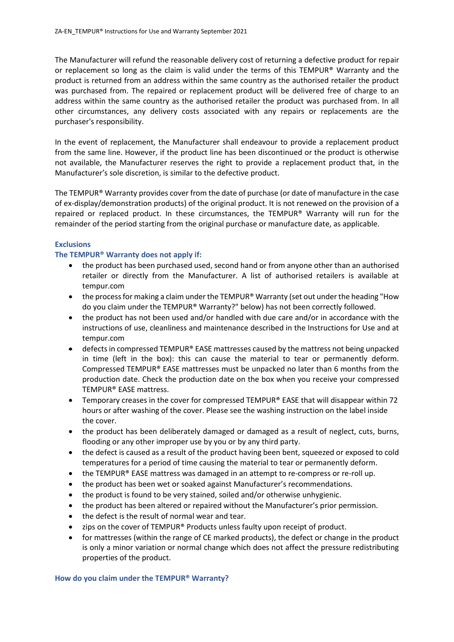The Manufacturer will refund the reasonable delivery cost of returning a defective product for repair or replacement so long as the claim is valid under the terms of this TEMPUR® Warranty and the product is returned from an address within the same country as the authorised retailer the product was purchased from. The repaired or replacement product will be delivered free of charge to an address within the same country as the authorised retailer the product was purchased from. In all other circumstances, any delivery costs associated with any repairs or replacements are the purchaser's responsibility.

In the event of replacement, the Manufacturer shall endeavour to provide a replacement product from the same line. However, if the product line has been discontinued or the product is otherwise not available, the Manufacturer reserves the right to provide a replacement product that, in the Manufacturer's sole discretion, is similar to the defective product.

The TEMPUR® Warranty provides cover from the date of purchase (or date of manufacture in the case of ex-display/demonstration products) of the original product. It is not renewed on the provision of a repaired or replaced product. In these circumstances, the TEMPUR® Warranty will run for the remainder of the period starting from the original purchase or manufacture date, as applicable.

#### **Exclusions**

#### **The TEMPUR® Warranty does not apply if:**

- the product has been purchased used, second hand or from anyone other than an authorised retailer or directly from the Manufacturer. A list of authorised retailers is available at [tempur.com](http://www.tempur.com/)
- the process for making a claim under the TEMPUR® Warranty (set out under the heading "How do you claim under the TEMPUR® Warranty?" below) has not been correctly followed.
- the product has not been used and/or handled with due care and/or in accordance with the instructions of use, cleanliness and maintenance described in the Instructions for Use and at [tempur.com](http://www.tempur.com/)
- $\bullet$  defects in compressed TEMPUR® EASE mattresses caused by the mattress not being unpacked in time (left in the box): this can cause the material to tear or permanently deform. Compressed TEMPUR® EASE mattresses must be unpacked no later than 6 months from the production date. Check the production date on the box when you receive your compressed TEMPUR® EASE mattress.
- Temporary creases in the cover for compressed TEMPUR® EASE that will disappear within 72 hours or after washing of the cover. Please see the washing instruction on the label inside the cover.
- the product has been deliberately damaged or damaged as a result of neglect, cuts, burns, flooding or any other improper use by you or by any third party.
- the defect is caused as a result of the product having been bent, squeezed or exposed to cold temperatures for a period of time causing the material to tear or permanently deform.
- the TEMPUR® EASE mattress was damaged in an attempt to re-compress or re-roll up.
- the product has been wet or soaked against Manufacturer's recommendations.
- the product is found to be very stained, soiled and/or otherwise unhygienic.
- the product has been altered or repaired without the Manufacturer's prior permission.
- the defect is the result of normal wear and tear.
- zips on the cover of TEMPUR® Products unless faulty upon receipt of product.
- for mattresses (within the range of CE marked products), the defect or change in the product is only a minor variation or normal change which does not affect the pressure redistributing properties of the product.

#### **How do you claim under the TEMPUR® Warranty?**